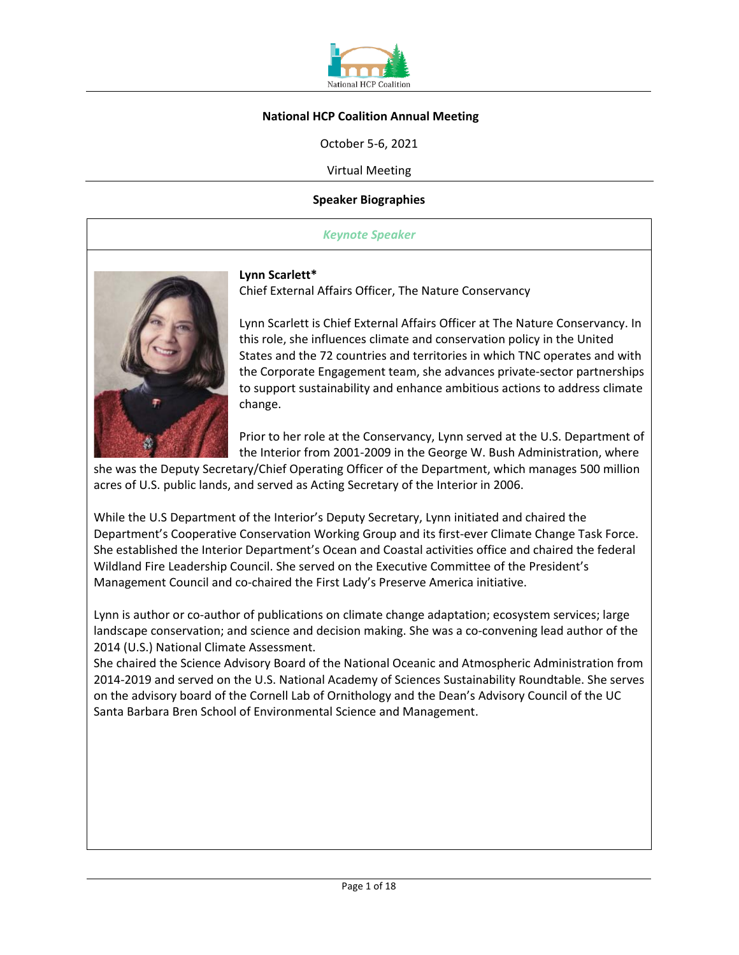

### **National HCP Coalition Annual Meeting**

October 5-6, 2021

Virtual Meeting

#### **Speaker Biographies**

#### *Keynote Speaker*



**Lynn Scarlett\*** 

Chief External Affairs Officer, The Nature Conservancy

Lynn Scarlett is Chief External Affairs Officer at The Nature Conservancy. In this role, she influences climate and conservation policy in the United States and the 72 countries and territories in which TNC operates and with the Corporate Engagement team, she advances private-sector partnerships to support sustainability and enhance ambitious actions to address climate change.

Prior to her role at the Conservancy, Lynn served at the U.S. Department of the Interior from 2001-2009 in the George W. Bush Administration, where

she was the Deputy Secretary/Chief Operating Officer of the Department, which manages 500 million acres of U.S. public lands, and served as Acting Secretary of the Interior in 2006.

While the U.S Department of the Interior's Deputy Secretary, Lynn initiated and chaired the Department's Cooperative Conservation Working Group and its first-ever Climate Change Task Force. She established the Interior Department's Ocean and Coastal activities office and chaired the federal Wildland Fire Leadership Council. She served on the Executive Committee of the President's Management Council and co-chaired the First Lady's Preserve America initiative.

Lynn is author or co-author of publications on climate change adaptation; ecosystem services; large landscape conservation; and science and decision making. She was a co-convening lead author of the 2014 (U.S.) National Climate Assessment.

She chaired the Science Advisory Board of the National Oceanic and Atmospheric Administration from 2014-2019 and served on the U.S. National Academy of Sciences Sustainability Roundtable. She serves on the advisory board of the Cornell Lab of Ornithology and the Dean's Advisory Council of the UC Santa Barbara Bren School of Environmental Science and Management.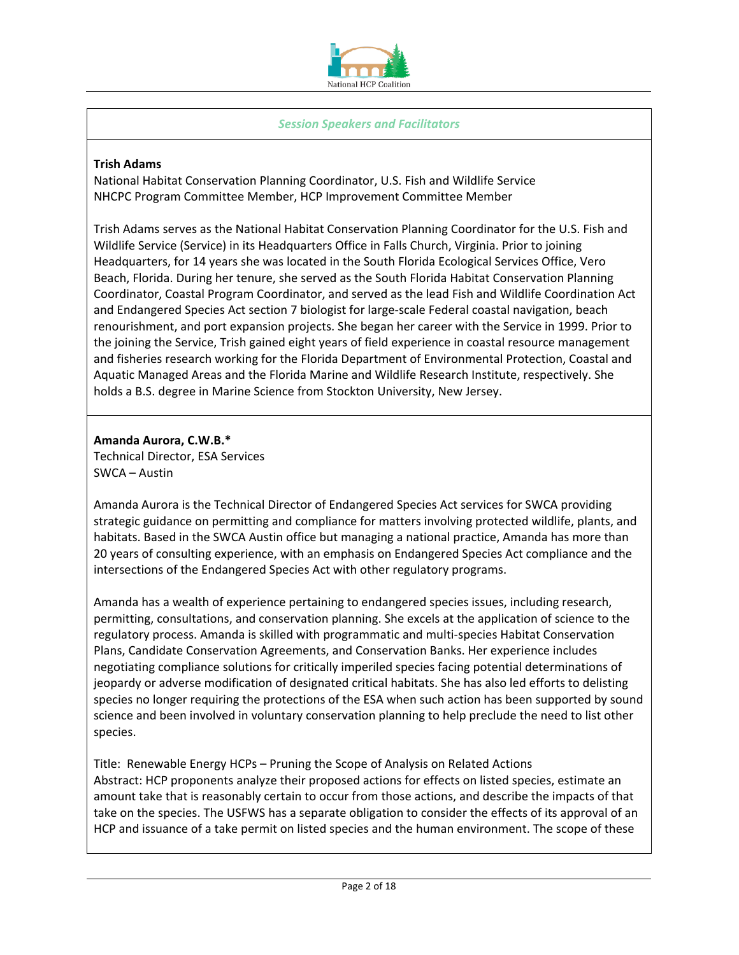

### *Session Speakers and Facilitators*

### **Trish Adams**

National Habitat Conservation Planning Coordinator, U.S. Fish and Wildlife Service NHCPC Program Committee Member, HCP Improvement Committee Member

Trish Adams serves as the National Habitat Conservation Planning Coordinator for the U.S. Fish and Wildlife Service (Service) in its Headquarters Office in Falls Church, Virginia. Prior to joining Headquarters, for 14 years she was located in the South Florida Ecological Services Office, Vero Beach, Florida. During her tenure, she served as the South Florida Habitat Conservation Planning Coordinator, Coastal Program Coordinator, and served as the lead Fish and Wildlife Coordination Act and Endangered Species Act section 7 biologist for large-scale Federal coastal navigation, beach renourishment, and port expansion projects. She began her career with the Service in 1999. Prior to the joining the Service, Trish gained eight years of field experience in coastal resource management and fisheries research working for the Florida Department of Environmental Protection, Coastal and Aquatic Managed Areas and the Florida Marine and Wildlife Research Institute, respectively. She holds a B.S. degree in Marine Science from Stockton University, New Jersey.

### **Amanda Aurora, C.W.B.\*** Technical Director, ESA Services SWCA – Austin

Amanda Aurora is the Technical Director of Endangered Species Act services for SWCA providing strategic guidance on permitting and compliance for matters involving protected wildlife, plants, and habitats. Based in the SWCA Austin office but managing a national practice, Amanda has more than 20 years of consulting experience, with an emphasis on Endangered Species Act compliance and the intersections of the Endangered Species Act with other regulatory programs.

Amanda has a wealth of experience pertaining to endangered species issues, including research, permitting, consultations, and conservation planning. She excels at the application of science to the regulatory process. Amanda is skilled with programmatic and multi-species Habitat Conservation Plans, Candidate Conservation Agreements, and Conservation Banks. Her experience includes negotiating compliance solutions for critically imperiled species facing potential determinations of jeopardy or adverse modification of designated critical habitats. She has also led efforts to delisting species no longer requiring the protections of the ESA when such action has been supported by sound science and been involved in voluntary conservation planning to help preclude the need to list other species.

Title: Renewable Energy HCPs – Pruning the Scope of Analysis on Related Actions Abstract: HCP proponents analyze their proposed actions for effects on listed species, estimate an amount take that is reasonably certain to occur from those actions, and describe the impacts of that take on the species. The USFWS has a separate obligation to consider the effects of its approval of an HCP and issuance of a take permit on listed species and the human environment. The scope of these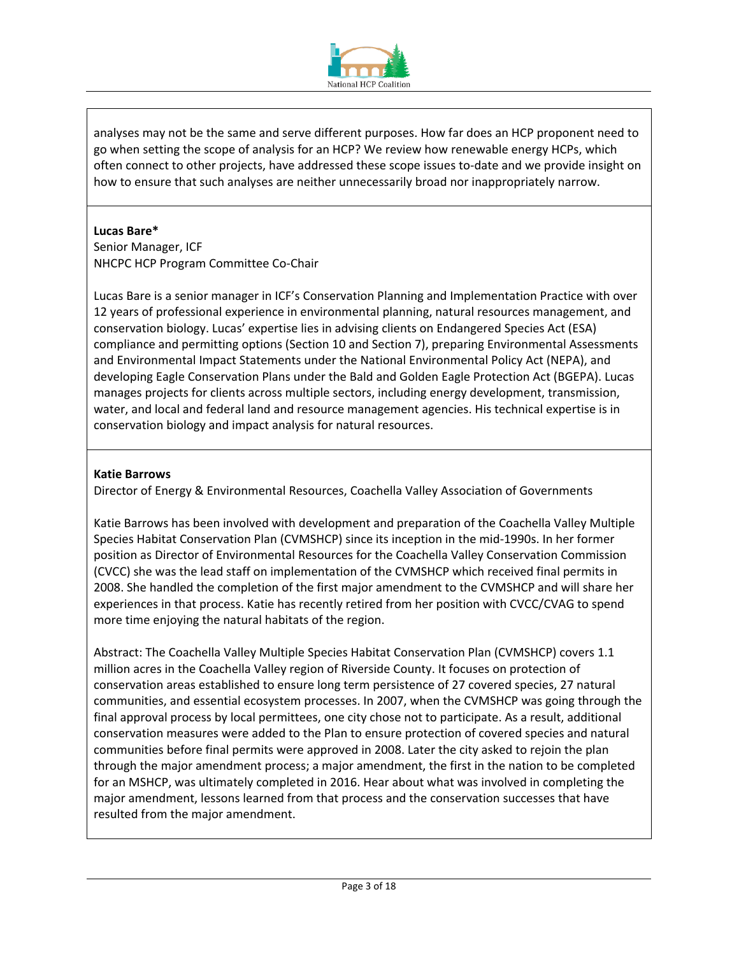

analyses may not be the same and serve different purposes. How far does an HCP proponent need to go when setting the scope of analysis for an HCP? We review how renewable energy HCPs, which often connect to other projects, have addressed these scope issues to-date and we provide insight on how to ensure that such analyses are neither unnecessarily broad nor inappropriately narrow.

### **Lucas Bare\***

Senior Manager, ICF NHCPC HCP Program Committee Co-Chair

Lucas Bare is a senior manager in ICF's Conservation Planning and Implementation Practice with over 12 years of professional experience in environmental planning, natural resources management, and conservation biology. Lucas' expertise lies in advising clients on Endangered Species Act (ESA) compliance and permitting options (Section 10 and Section 7), preparing Environmental Assessments and Environmental Impact Statements under the National Environmental Policy Act (NEPA), and developing Eagle Conservation Plans under the Bald and Golden Eagle Protection Act (BGEPA). Lucas manages projects for clients across multiple sectors, including energy development, transmission, water, and local and federal land and resource management agencies. His technical expertise is in conservation biology and impact analysis for natural resources.

# **Katie Barrows**

Director of Energy & Environmental Resources, Coachella Valley Association of Governments

Katie Barrows has been involved with development and preparation of the Coachella Valley Multiple Species Habitat Conservation Plan (CVMSHCP) since its inception in the mid-1990s. In her former position as Director of Environmental Resources for the Coachella Valley Conservation Commission (CVCC) she was the lead staff on implementation of the CVMSHCP which received final permits in 2008. She handled the completion of the first major amendment to the CVMSHCP and will share her experiences in that process. Katie has recently retired from her position with CVCC/CVAG to spend more time enjoying the natural habitats of the region.

Abstract: The Coachella Valley Multiple Species Habitat Conservation Plan (CVMSHCP) covers 1.1 million acres in the Coachella Valley region of Riverside County. It focuses on protection of conservation areas established to ensure long term persistence of 27 covered species, 27 natural communities, and essential ecosystem processes. In 2007, when the CVMSHCP was going through the final approval process by local permittees, one city chose not to participate. As a result, additional conservation measures were added to the Plan to ensure protection of covered species and natural communities before final permits were approved in 2008. Later the city asked to rejoin the plan through the major amendment process; a major amendment, the first in the nation to be completed for an MSHCP, was ultimately completed in 2016. Hear about what was involved in completing the major amendment, lessons learned from that process and the conservation successes that have resulted from the major amendment.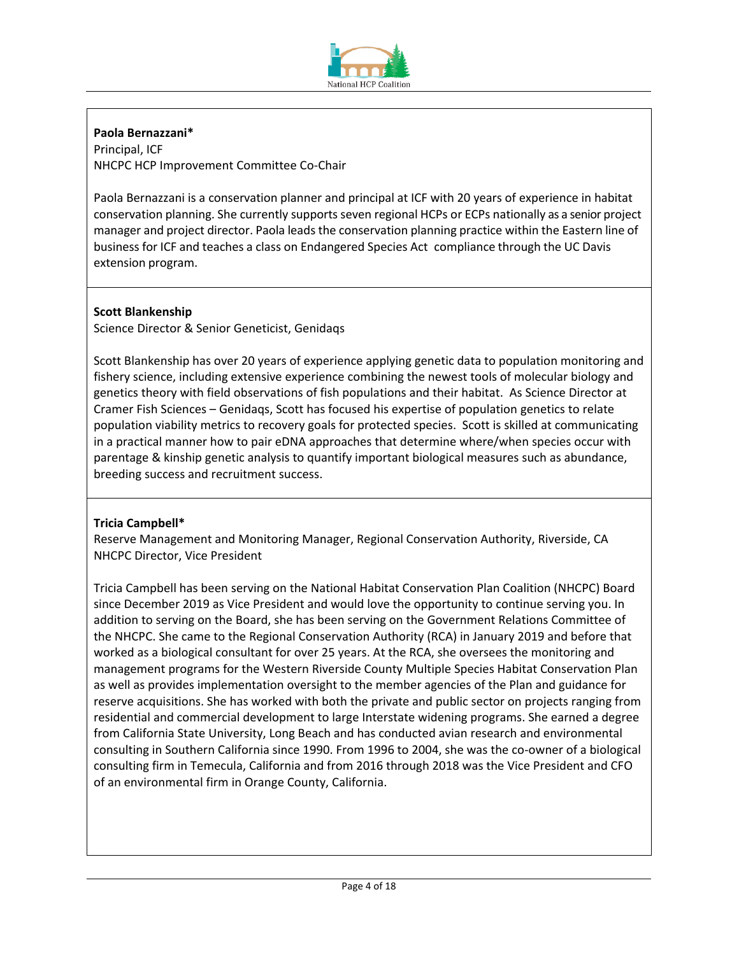

# **Paola Bernazzani\***

Principal, ICF NHCPC HCP Improvement Committee Co-Chair

Paola Bernazzani is a conservation planner and principal at ICF with 20 years of experience in habitat conservation planning. She currently supports seven regional HCPs or ECPs nationally as a senior project manager and project director. Paola leads the conservation planning practice within the Eastern line of business for ICF and teaches a class on Endangered Species Act compliance through the UC Davis extension program.

# **Scott Blankenship**

Science Director & Senior Geneticist, Genidaqs

Scott Blankenship has over 20 years of experience applying genetic data to population monitoring and fishery science, including extensive experience combining the newest tools of molecular biology and genetics theory with field observations of fish populations and their habitat.  As Science Director at Cramer Fish Sciences – Genidaqs, Scott has focused his expertise of population genetics to relate population viability metrics to recovery goals for protected species.  Scott is skilled at communicating in a practical manner how to pair eDNA approaches that determine where/when species occur with parentage & kinship genetic analysis to quantify important biological measures such as abundance, breeding success and recruitment success. 

# **Tricia Campbell\***

Reserve Management and Monitoring Manager, Regional Conservation Authority, Riverside, CA NHCPC Director, Vice President

Tricia Campbell has been serving on the National Habitat Conservation Plan Coalition (NHCPC) Board since December 2019 as Vice President and would love the opportunity to continue serving you. In addition to serving on the Board, she has been serving on the Government Relations Committee of the NHCPC. She came to the Regional Conservation Authority (RCA) in January 2019 and before that worked as a biological consultant for over 25 years. At the RCA, she oversees the monitoring and management programs for the Western Riverside County Multiple Species Habitat Conservation Plan as well as provides implementation oversight to the member agencies of the Plan and guidance for reserve acquisitions. She has worked with both the private and public sector on projects ranging from residential and commercial development to large Interstate widening programs. She earned a degree from California State University, Long Beach and has conducted avian research and environmental consulting in Southern California since 1990. From 1996 to 2004, she was the co-owner of a biological consulting firm in Temecula, California and from 2016 through 2018 was the Vice President and CFO of an environmental firm in Orange County, California.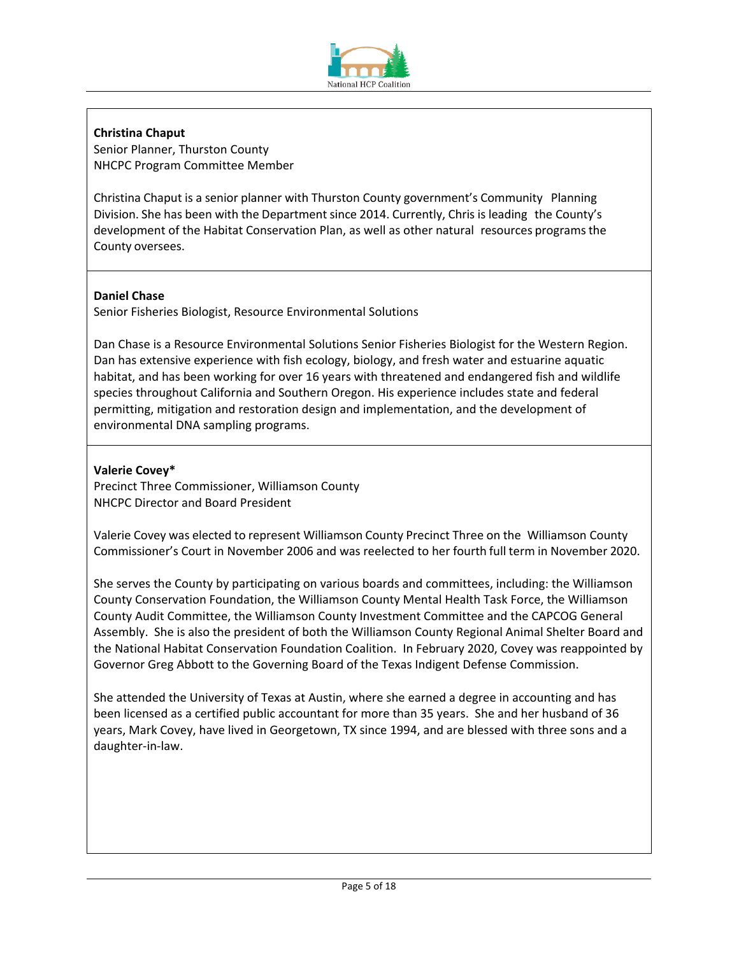

**Christina Chaput**  Senior Planner, Thurston County

NHCPC Program Committee Member

Christina Chaput is a senior planner with Thurston County government's Community Planning Division. She has been with the Department since 2014. Currently, Chris is leading the County's development of the Habitat Conservation Plan, as well as other natural resources programs the County oversees.

# **Daniel Chase**

Senior Fisheries Biologist, Resource Environmental Solutions

Dan Chase is a Resource Environmental Solutions Senior Fisheries Biologist for the Western Region. Dan has extensive experience with fish ecology, biology, and fresh water and estuarine aquatic habitat, and has been working for over 16 years with threatened and endangered fish and wildlife species throughout California and Southern Oregon. His experience includes state and federal permitting, mitigation and restoration design and implementation, and the development of environmental DNA sampling programs.

# **Valerie Covey\***

Precinct Three Commissioner, Williamson County NHCPC Director and Board President

Valerie Covey was elected to represent Williamson County Precinct Three on the Williamson County Commissioner's Court in November 2006 and was reelected to her fourth full term in November 2020.

She serves the County by participating on various boards and committees, including: the Williamson County Conservation Foundation, the Williamson County Mental Health Task Force, the Williamson County Audit Committee, the Williamson County Investment Committee and the CAPCOG General Assembly. She is also the president of both the Williamson County Regional Animal Shelter Board and the National Habitat Conservation Foundation Coalition. In February 2020, Covey was reappointed by Governor Greg Abbott to the Governing Board of the Texas Indigent Defense Commission.

She attended the University of Texas at Austin, where she earned a degree in accounting and has been licensed as a certified public accountant for more than 35 years. She and her husband of 36 years, Mark Covey, have lived in Georgetown, TX since 1994, and are blessed with three sons and a daughter-in-law.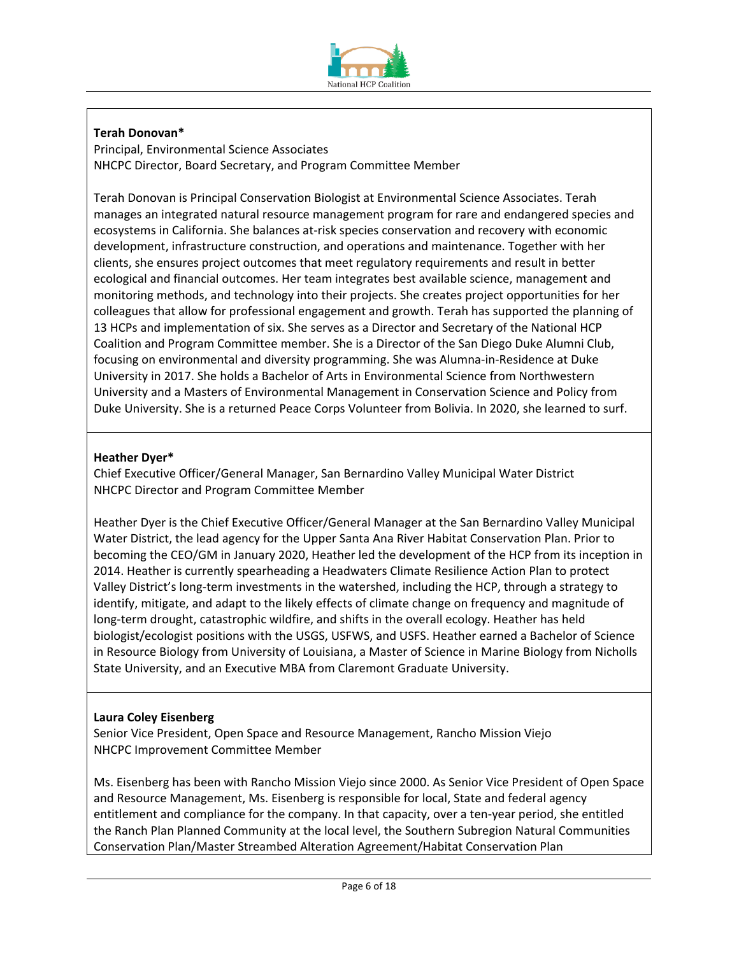

# **Terah Donovan\***

Principal, Environmental Science Associates NHCPC Director, Board Secretary, and Program Committee Member

Terah Donovan is Principal Conservation Biologist at Environmental Science Associates. Terah manages an integrated natural resource management program for rare and endangered species and ecosystems in California. She balances at-risk species conservation and recovery with economic development, infrastructure construction, and operations and maintenance. Together with her clients, she ensures project outcomes that meet regulatory requirements and result in better ecological and financial outcomes. Her team integrates best available science, management and monitoring methods, and technology into their projects. She creates project opportunities for her colleagues that allow for professional engagement and growth. Terah has supported the planning of 13 HCPs and implementation of six. She serves as a Director and Secretary of the National HCP Coalition and Program Committee member. She is a Director of the San Diego Duke Alumni Club, focusing on environmental and diversity programming. She was Alumna-in-Residence at Duke University in 2017. She holds a Bachelor of Arts in Environmental Science from Northwestern University and a Masters of Environmental Management in Conservation Science and Policy from Duke University. She is a returned Peace Corps Volunteer from Bolivia. In 2020, she learned to surf.

## **Heather Dyer\***

Chief Executive Officer/General Manager, San Bernardino Valley Municipal Water District NHCPC Director and Program Committee Member

Heather Dyer is the Chief Executive Officer/General Manager at the San Bernardino Valley Municipal Water District, the lead agency for the Upper Santa Ana River Habitat Conservation Plan. Prior to becoming the CEO/GM in January 2020, Heather led the development of the HCP from its inception in 2014. Heather is currently spearheading a Headwaters Climate Resilience Action Plan to protect Valley District's long-term investments in the watershed, including the HCP, through a strategy to identify, mitigate, and adapt to the likely effects of climate change on frequency and magnitude of long-term drought, catastrophic wildfire, and shifts in the overall ecology. Heather has held biologist/ecologist positions with the USGS, USFWS, and USFS. Heather earned a Bachelor of Science in Resource Biology from University of Louisiana, a Master of Science in Marine Biology from Nicholls State University, and an Executive MBA from Claremont Graduate University.

### **Laura Coley Eisenberg**

Senior Vice President, Open Space and Resource Management, Rancho Mission Viejo NHCPC Improvement Committee Member

Ms. Eisenberg has been with Rancho Mission Viejo since 2000. As Senior Vice President of Open Space and Resource Management, Ms. Eisenberg is responsible for local, State and federal agency entitlement and compliance for the company. In that capacity, over a ten-year period, she entitled the Ranch Plan Planned Community at the local level, the Southern Subregion Natural Communities Conservation Plan/Master Streambed Alteration Agreement/Habitat Conservation Plan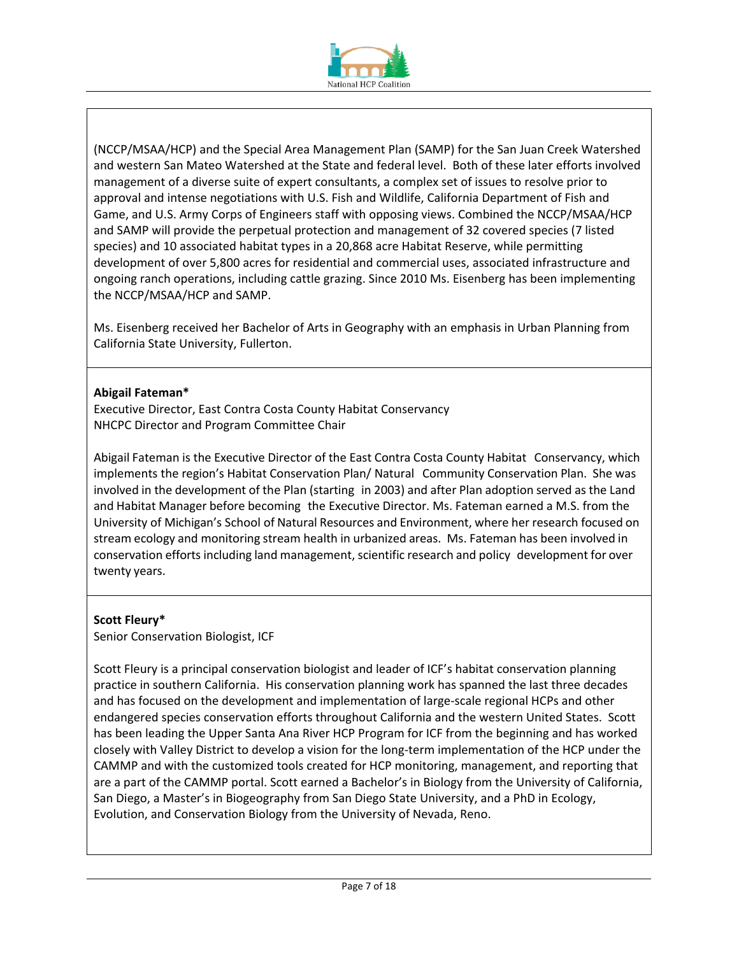

(NCCP/MSAA/HCP) and the Special Area Management Plan (SAMP) for the San Juan Creek Watershed and western San Mateo Watershed at the State and federal level. Both of these later efforts involved management of a diverse suite of expert consultants, a complex set of issues to resolve prior to approval and intense negotiations with U.S. Fish and Wildlife, California Department of Fish and Game, and U.S. Army Corps of Engineers staff with opposing views. Combined the NCCP/MSAA/HCP and SAMP will provide the perpetual protection and management of 32 covered species (7 listed species) and 10 associated habitat types in a 20,868 acre Habitat Reserve, while permitting development of over 5,800 acres for residential and commercial uses, associated infrastructure and ongoing ranch operations, including cattle grazing. Since 2010 Ms. Eisenberg has been implementing the NCCP/MSAA/HCP and SAMP.

Ms. Eisenberg received her Bachelor of Arts in Geography with an emphasis in Urban Planning from California State University, Fullerton.

### **Abigail Fateman\***

Executive Director, East Contra Costa County Habitat Conservancy NHCPC Director and Program Committee Chair

Abigail Fateman is the Executive Director of the East Contra Costa County Habitat Conservancy, which implements the region's Habitat Conservation Plan/ Natural Community Conservation Plan. She was involved in the development of the Plan (starting in 2003) and after Plan adoption served as the Land and Habitat Manager before becoming the Executive Director. Ms. Fateman earned a M.S. from the University of Michigan's School of Natural Resources and Environment, where her research focused on stream ecology and monitoring stream health in urbanized areas. Ms. Fateman has been involved in conservation efforts including land management, scientific research and policy development for over twenty years.

# **Scott Fleury\***

Senior Conservation Biologist, ICF

Scott Fleury is a principal conservation biologist and leader of ICF's habitat conservation planning practice in southern California. His conservation planning work has spanned the last three decades and has focused on the development and implementation of large-scale regional HCPs and other endangered species conservation efforts throughout California and the western United States. Scott has been leading the Upper Santa Ana River HCP Program for ICF from the beginning and has worked closely with Valley District to develop a vision for the long-term implementation of the HCP under the CAMMP and with the customized tools created for HCP monitoring, management, and reporting that are a part of the CAMMP portal. Scott earned a Bachelor's in Biology from the University of California, San Diego, a Master's in Biogeography from San Diego State University, and a PhD in Ecology, Evolution, and Conservation Biology from the University of Nevada, Reno.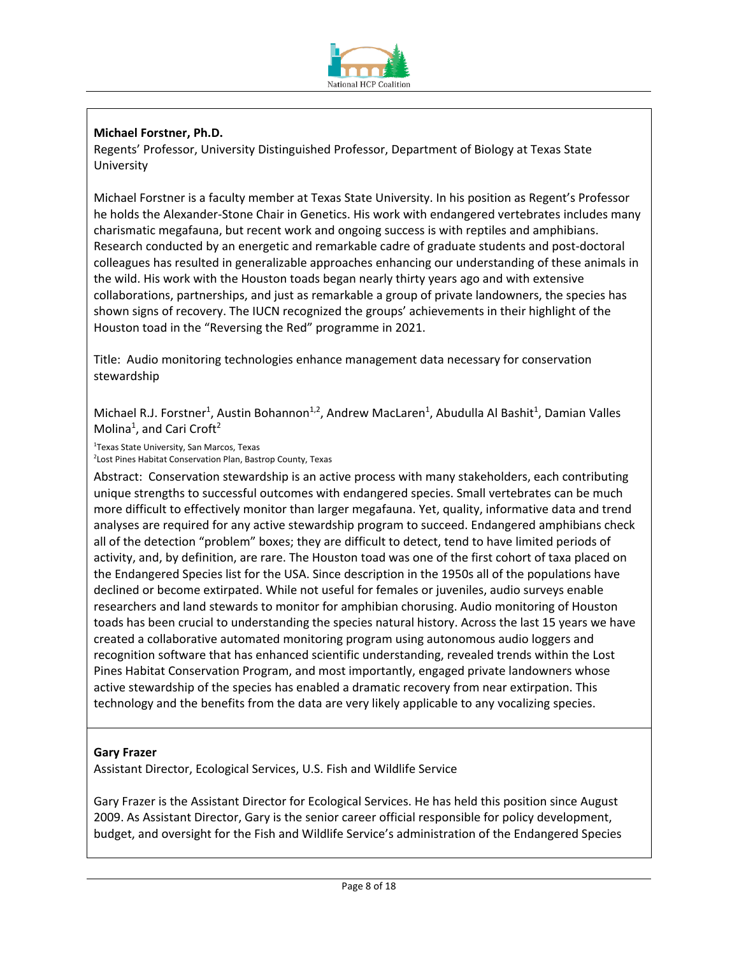

# **Michael Forstner, Ph.D.**

Regents' Professor, University Distinguished Professor, Department of Biology at Texas State University

Michael Forstner is a faculty member at Texas State University. In his position as Regent's Professor he holds the Alexander-Stone Chair in Genetics. His work with endangered vertebrates includes many charismatic megafauna, but recent work and ongoing success is with reptiles and amphibians. Research conducted by an energetic and remarkable cadre of graduate students and post-doctoral colleagues has resulted in generalizable approaches enhancing our understanding of these animals in the wild. His work with the Houston toads began nearly thirty years ago and with extensive collaborations, partnerships, and just as remarkable a group of private landowners, the species has shown signs of recovery. The IUCN recognized the groups' achievements in their highlight of the Houston toad in the "Reversing the Red" programme in 2021.

Title: Audio monitoring technologies enhance management data necessary for conservation stewardship

Michael R.J. Forstner<sup>1</sup>, Austin Bohannon<sup>1,2</sup>, Andrew MacLaren<sup>1</sup>, Abudulla Al Bashit<sup>1</sup>, Damian Valles Molina<sup>1</sup>, and Cari Croft<sup>2</sup>

1 Texas State University, San Marcos, Texas

2 Lost Pines Habitat Conservation Plan, Bastrop County, Texas

Abstract: Conservation stewardship is an active process with many stakeholders, each contributing unique strengths to successful outcomes with endangered species. Small vertebrates can be much more difficult to effectively monitor than larger megafauna. Yet, quality, informative data and trend analyses are required for any active stewardship program to succeed. Endangered amphibians check all of the detection "problem" boxes; they are difficult to detect, tend to have limited periods of activity, and, by definition, are rare. The Houston toad was one of the first cohort of taxa placed on the Endangered Species list for the USA. Since description in the 1950s all of the populations have declined or become extirpated. While not useful for females or juveniles, audio surveys enable researchers and land stewards to monitor for amphibian chorusing. Audio monitoring of Houston toads has been crucial to understanding the species natural history. Across the last 15 years we have created a collaborative automated monitoring program using autonomous audio loggers and recognition software that has enhanced scientific understanding, revealed trends within the Lost Pines Habitat Conservation Program, and most importantly, engaged private landowners whose active stewardship of the species has enabled a dramatic recovery from near extirpation. This technology and the benefits from the data are very likely applicable to any vocalizing species.

### **Gary Frazer**

Assistant Director, Ecological Services, U.S. Fish and Wildlife Service

Gary Frazer is the Assistant Director for Ecological Services. He has held this position since August 2009. As Assistant Director, Gary is the senior career official responsible for policy development, budget, and oversight for the Fish and Wildlife Service's administration of the Endangered Species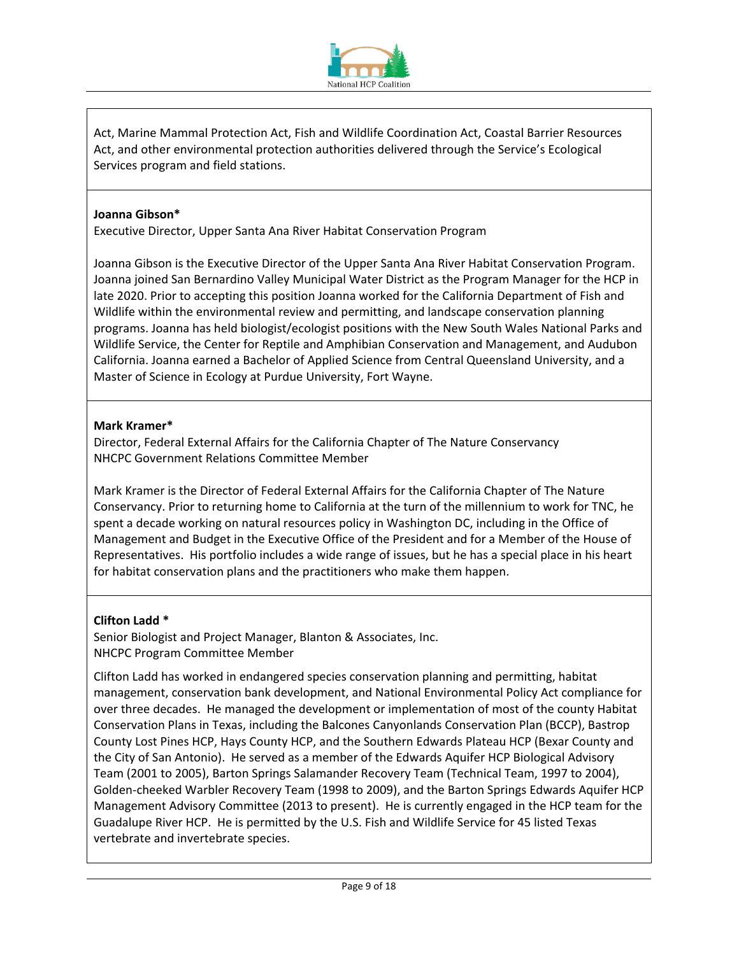

Act, Marine Mammal Protection Act, Fish and Wildlife Coordination Act, Coastal Barrier Resources Act, and other environmental protection authorities delivered through the Service's Ecological Services program and field stations.

### **Joanna Gibson\***

Executive Director, Upper Santa Ana River Habitat Conservation Program

Joanna Gibson is the Executive Director of the Upper Santa Ana River Habitat Conservation Program. Joanna joined San Bernardino Valley Municipal Water District as the Program Manager for the HCP in late 2020. Prior to accepting this position Joanna worked for the California Department of Fish and Wildlife within the environmental review and permitting, and landscape conservation planning programs. Joanna has held biologist/ecologist positions with the New South Wales National Parks and Wildlife Service, the Center for Reptile and Amphibian Conservation and Management, and Audubon California. Joanna earned a Bachelor of Applied Science from Central Queensland University, and a Master of Science in Ecology at Purdue University, Fort Wayne.

## **Mark Kramer\***

Director, Federal External Affairs for the California Chapter of The Nature Conservancy NHCPC Government Relations Committee Member

Mark Kramer is the Director of Federal External Affairs for the California Chapter of The Nature Conservancy. Prior to returning home to California at the turn of the millennium to work for TNC, he spent a decade working on natural resources policy in Washington DC, including in the Office of Management and Budget in the Executive Office of the President and for a Member of the House of Representatives. His portfolio includes a wide range of issues, but he has a special place in his heart for habitat conservation plans and the practitioners who make them happen.

### **Clifton Ladd \***

Senior Biologist and Project Manager, Blanton & Associates, Inc. NHCPC Program Committee Member

Clifton Ladd has worked in endangered species conservation planning and permitting, habitat management, conservation bank development, and National Environmental Policy Act compliance for over three decades. He managed the development or implementation of most of the county Habitat Conservation Plans in Texas, including the Balcones Canyonlands Conservation Plan (BCCP), Bastrop County Lost Pines HCP, Hays County HCP, and the Southern Edwards Plateau HCP (Bexar County and the City of San Antonio). He served as a member of the Edwards Aquifer HCP Biological Advisory Team (2001 to 2005), Barton Springs Salamander Recovery Team (Technical Team, 1997 to 2004), Golden-cheeked Warbler Recovery Team (1998 to 2009), and the Barton Springs Edwards Aquifer HCP Management Advisory Committee (2013 to present). He is currently engaged in the HCP team for the Guadalupe River HCP. He is permitted by the U.S. Fish and Wildlife Service for 45 listed Texas vertebrate and invertebrate species.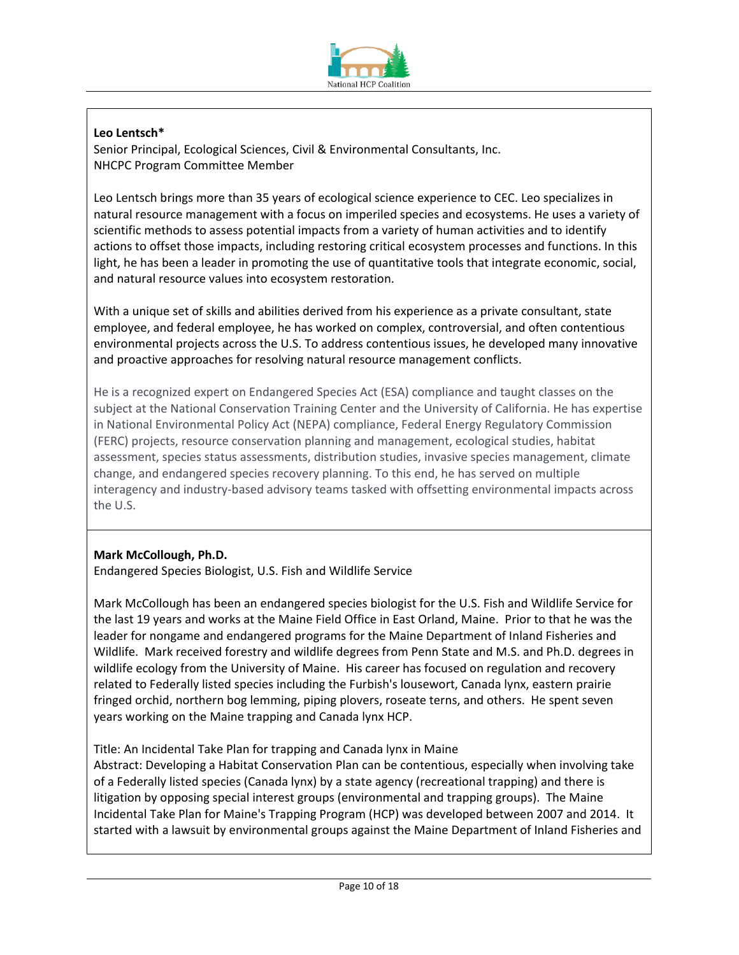

# **Leo Lentsch\***

Senior Principal, Ecological Sciences, Civil & Environmental Consultants, Inc. NHCPC Program Committee Member

Leo Lentsch brings more than 35 years of ecological science experience to CEC. Leo specializes in natural resource management with a focus on imperiled species and ecosystems. He uses a variety of scientific methods to assess potential impacts from a variety of human activities and to identify actions to offset those impacts, including restoring critical ecosystem processes and functions. In this light, he has been a leader in promoting the use of quantitative tools that integrate economic, social, and natural resource values into ecosystem restoration.

With a unique set of skills and abilities derived from his experience as a private consultant, state employee, and federal employee, he has worked on complex, controversial, and often contentious environmental projects across the U.S. To address contentious issues, he developed many innovative and proactive approaches for resolving natural resource management conflicts.

He is a recognized expert on Endangered Species Act (ESA) compliance and taught classes on the subject at the National Conservation Training Center and the University of California. He has expertise in National Environmental Policy Act (NEPA) compliance, Federal Energy Regulatory Commission (FERC) projects, resource conservation planning and management, ecological studies, habitat assessment, species status assessments, distribution studies, invasive species management, climate change, and endangered species recovery planning. To this end, he has served on multiple interagency and industry-based advisory teams tasked with offsetting environmental impacts across the U.S.

# **Mark McCollough, Ph.D.**

Endangered Species Biologist, U.S. Fish and Wildlife Service

Mark McCollough has been an endangered species biologist for the U.S. Fish and Wildlife Service for the last 19 years and works at the Maine Field Office in East Orland, Maine. Prior to that he was the leader for nongame and endangered programs for the Maine Department of Inland Fisheries and Wildlife. Mark received forestry and wildlife degrees from Penn State and M.S. and Ph.D. degrees in wildlife ecology from the University of Maine. His career has focused on regulation and recovery related to Federally listed species including the Furbish's lousewort, Canada lynx, eastern prairie fringed orchid, northern bog lemming, piping plovers, roseate terns, and others. He spent seven years working on the Maine trapping and Canada lynx HCP.

Title: An Incidental Take Plan for trapping and Canada lynx in Maine

Abstract: Developing a Habitat Conservation Plan can be contentious, especially when involving take of a Federally listed species (Canada lynx) by a state agency (recreational trapping) and there is litigation by opposing special interest groups (environmental and trapping groups). The Maine Incidental Take Plan for Maine's Trapping Program (HCP) was developed between 2007 and 2014. It started with a lawsuit by environmental groups against the Maine Department of Inland Fisheries and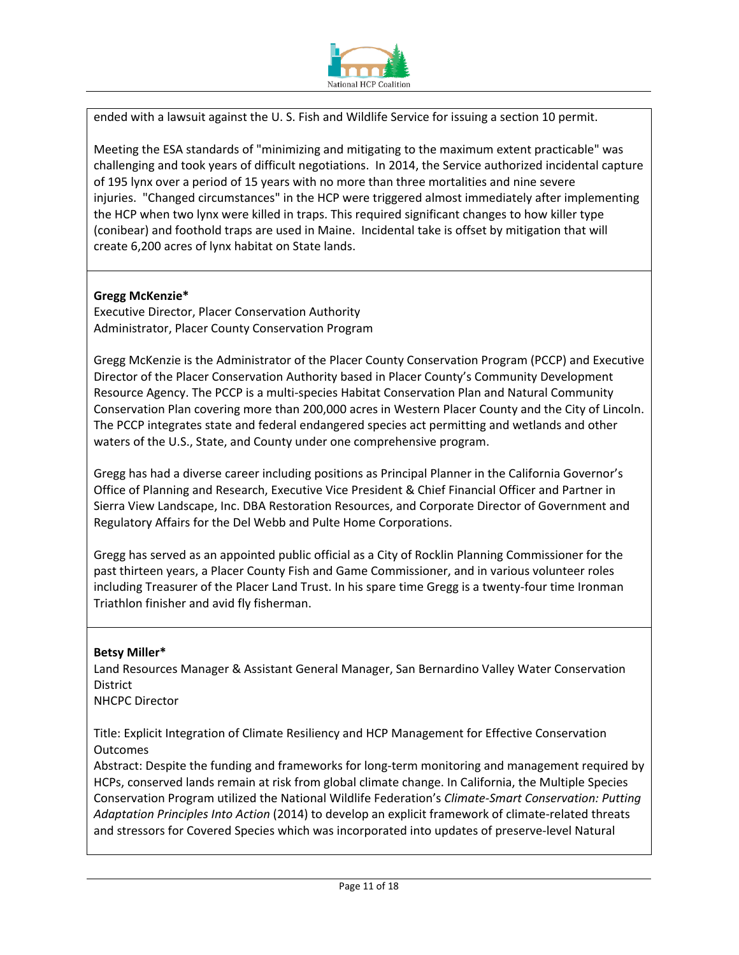

ended with a lawsuit against the U. S. Fish and Wildlife Service for issuing a section 10 permit.

Meeting the ESA standards of "minimizing and mitigating to the maximum extent practicable" was challenging and took years of difficult negotiations. In 2014, the Service authorized incidental capture of 195 lynx over a period of 15 years with no more than three mortalities and nine severe injuries. "Changed circumstances" in the HCP were triggered almost immediately after implementing the HCP when two lynx were killed in traps. This required significant changes to how killer type (conibear) and foothold traps are used in Maine. Incidental take is offset by mitigation that will create 6,200 acres of lynx habitat on State lands.

### **Gregg McKenzie\***

Executive Director, Placer Conservation Authority Administrator, Placer County Conservation Program

Gregg McKenzie is the Administrator of the Placer County Conservation Program (PCCP) and Executive Director of the Placer Conservation Authority based in Placer County's Community Development Resource Agency. The PCCP is a multi-species Habitat Conservation Plan and Natural Community Conservation Plan covering more than 200,000 acres in Western Placer County and the City of Lincoln. The PCCP integrates state and federal endangered species act permitting and wetlands and other waters of the U.S., State, and County under one comprehensive program.

Gregg has had a diverse career including positions as Principal Planner in the California Governor's Office of Planning and Research, Executive Vice President & Chief Financial Officer and Partner in Sierra View Landscape, Inc. DBA Restoration Resources, and Corporate Director of Government and Regulatory Affairs for the Del Webb and Pulte Home Corporations.

Gregg has served as an appointed public official as a City of Rocklin Planning Commissioner for the past thirteen years, a Placer County Fish and Game Commissioner, and in various volunteer roles including Treasurer of the Placer Land Trust. In his spare time Gregg is a twenty-four time Ironman Triathlon finisher and avid fly fisherman.

#### **Betsy Miller\***

Land Resources Manager & Assistant General Manager, San Bernardino Valley Water Conservation District

NHCPC Director

Title: Explicit Integration of Climate Resiliency and HCP Management for Effective Conservation Outcomes

Abstract: Despite the funding and frameworks for long-term monitoring and management required by HCPs, conserved lands remain at risk from global climate change. In California, the Multiple Species Conservation Program utilized the National Wildlife Federation's *Climate-Smart Conservation: Putting Adaptation Principles Into Action* (2014) to develop an explicit framework of climate-related threats and stressors for Covered Species which was incorporated into updates of preserve-level Natural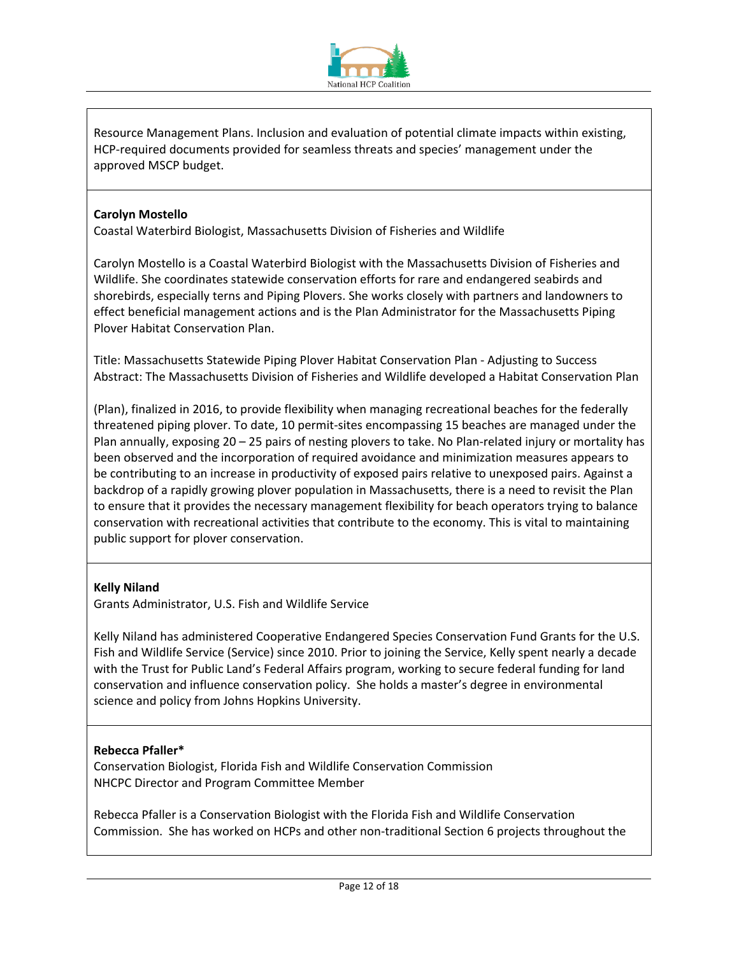

Resource Management Plans. Inclusion and evaluation of potential climate impacts within existing, HCP-required documents provided for seamless threats and species' management under the approved MSCP budget.

## **Carolyn Mostello**

Coastal Waterbird Biologist, Massachusetts Division of Fisheries and Wildlife

Carolyn Mostello is a Coastal Waterbird Biologist with the Massachusetts Division of Fisheries and Wildlife. She coordinates statewide conservation efforts for rare and endangered seabirds and shorebirds, especially terns and Piping Plovers. She works closely with partners and landowners to effect beneficial management actions and is the Plan Administrator for the Massachusetts Piping Plover Habitat Conservation Plan.

Title: Massachusetts Statewide Piping Plover Habitat Conservation Plan - Adjusting to Success Abstract: The Massachusetts Division of Fisheries and Wildlife developed a Habitat Conservation Plan

(Plan), finalized in 2016, to provide flexibility when managing recreational beaches for the federally threatened piping plover. To date, 10 permit-sites encompassing 15 beaches are managed under the Plan annually, exposing 20 – 25 pairs of nesting plovers to take. No Plan-related injury or mortality has been observed and the incorporation of required avoidance and minimization measures appears to be contributing to an increase in productivity of exposed pairs relative to unexposed pairs. Against a backdrop of a rapidly growing plover population in Massachusetts, there is a need to revisit the Plan to ensure that it provides the necessary management flexibility for beach operators trying to balance conservation with recreational activities that contribute to the economy. This is vital to maintaining public support for plover conservation.

### **Kelly Niland**

Grants Administrator, U.S. Fish and Wildlife Service

Kelly Niland has administered Cooperative Endangered Species Conservation Fund Grants for the U.S. Fish and Wildlife Service (Service) since 2010. Prior to joining the Service, Kelly spent nearly a decade with the Trust for Public Land's Federal Affairs program, working to secure federal funding for land conservation and influence conservation policy. She holds a master's degree in environmental science and policy from Johns Hopkins University.

# **Rebecca Pfaller\***

Conservation Biologist, Florida Fish and Wildlife Conservation Commission NHCPC Director and Program Committee Member

Rebecca Pfaller is a Conservation Biologist with the Florida Fish and Wildlife Conservation Commission. She has worked on HCPs and other non-traditional Section 6 projects throughout the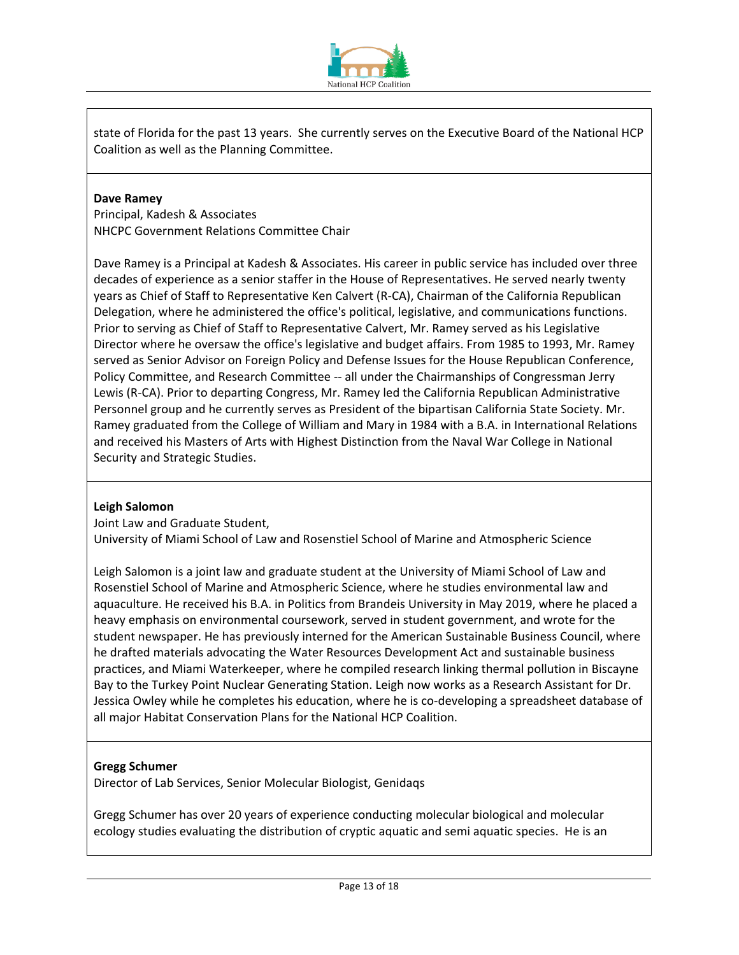

state of Florida for the past 13 years. She currently serves on the Executive Board of the National HCP Coalition as well as the Planning Committee.

### **Dave Ramey**

Principal, Kadesh & Associates NHCPC Government Relations Committee Chair

Dave Ramey is a Principal at Kadesh & Associates. His career in public service has included over three decades of experience as a senior staffer in the House of Representatives. He served nearly twenty years as Chief of Staff to Representative Ken Calvert (R-CA), Chairman of the California Republican Delegation, where he administered the office's political, legislative, and communications functions. Prior to serving as Chief of Staff to Representative Calvert, Mr. Ramey served as his Legislative Director where he oversaw the office's legislative and budget affairs. From 1985 to 1993, Mr. Ramey served as Senior Advisor on Foreign Policy and Defense Issues for the House Republican Conference, Policy Committee, and Research Committee -- all under the Chairmanships of Congressman Jerry Lewis (R-CA). Prior to departing Congress, Mr. Ramey led the California Republican Administrative Personnel group and he currently serves as President of the bipartisan California State Society. Mr. Ramey graduated from the College of William and Mary in 1984 with a B.A. in International Relations and received his Masters of Arts with Highest Distinction from the Naval War College in National Security and Strategic Studies.

### **Leigh Salomon**

Joint Law and Graduate Student,

University of Miami School of Law and Rosenstiel School of Marine and Atmospheric Science

Leigh Salomon is a joint law and graduate student at the University of Miami School of Law and Rosenstiel School of Marine and Atmospheric Science, where he studies environmental law and aquaculture. He received his B.A. in Politics from Brandeis University in May 2019, where he placed a heavy emphasis on environmental coursework, served in student government, and wrote for the student newspaper. He has previously interned for the American Sustainable Business Council, where he drafted materials advocating the Water Resources Development Act and sustainable business practices, and Miami Waterkeeper, where he compiled research linking thermal pollution in Biscayne Bay to the Turkey Point Nuclear Generating Station. Leigh now works as a Research Assistant for Dr. Jessica Owley while he completes his education, where he is co-developing a spreadsheet database of all major Habitat Conservation Plans for the National HCP Coalition.

### **Gregg Schumer**

Director of Lab Services, Senior Molecular Biologist, Genidaqs

Gregg Schumer has over 20 years of experience conducting molecular biological and molecular ecology studies evaluating the distribution of cryptic aquatic and semi aquatic species. He is an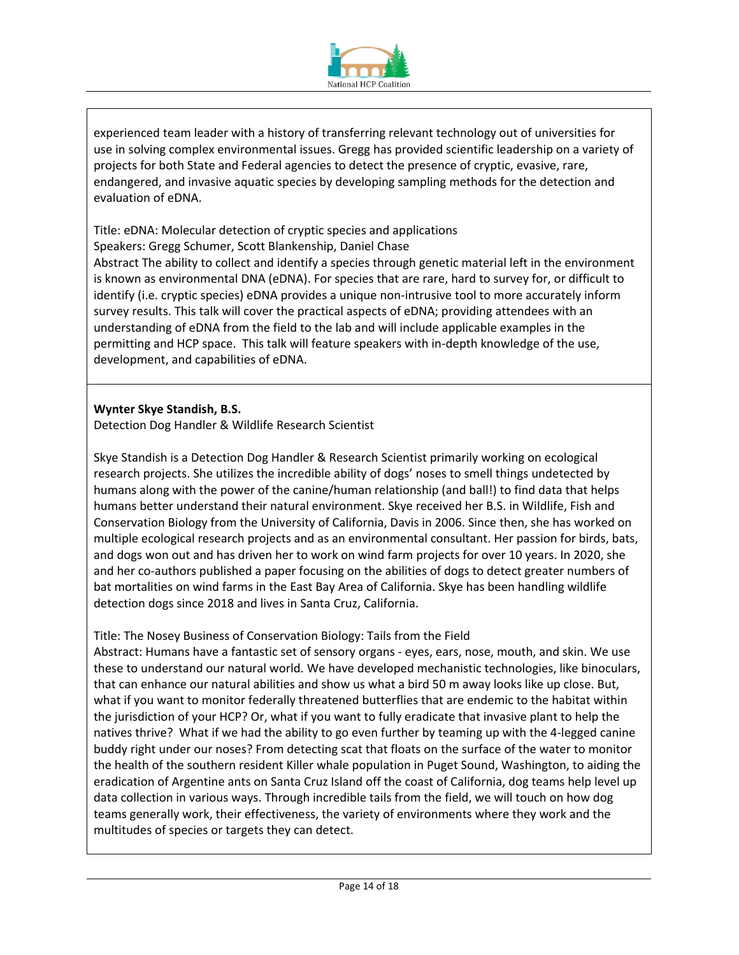

experienced team leader with a history of transferring relevant technology out of universities for use in solving complex environmental issues. Gregg has provided scientific leadership on a variety of projects for both State and Federal agencies to detect the presence of cryptic, evasive, rare, endangered, and invasive aquatic species by developing sampling methods for the detection and evaluation of eDNA.

Title: eDNA: Molecular detection of cryptic species and applications Speakers: Gregg Schumer, Scott Blankenship, Daniel Chase Abstract The ability to collect and identify a species through genetic material left in the environment is known as environmental DNA (eDNA). For species that are rare, hard to survey for, or difficult to identify (i.e. cryptic species) eDNA provides a unique non-intrusive tool to more accurately inform survey results. This talk will cover the practical aspects of eDNA; providing attendees with an understanding of eDNA from the field to the lab and will include applicable examples in the permitting and HCP space. This talk will feature speakers with in-depth knowledge of the use, development, and capabilities of eDNA.

## **Wynter Skye Standish, B.S.**

Detection Dog Handler & Wildlife Research Scientist

Skye Standish is a Detection Dog Handler & Research Scientist primarily working on ecological research projects. She utilizes the incredible ability of dogs' noses to smell things undetected by humans along with the power of the canine/human relationship (and ball!) to find data that helps humans better understand their natural environment. Skye received her B.S. in Wildlife, Fish and Conservation Biology from the University of California, Davis in 2006. Since then, she has worked on multiple ecological research projects and as an environmental consultant. Her passion for birds, bats, and dogs won out and has driven her to work on wind farm projects for over 10 years. In 2020, she and her co-authors published a paper focusing on the abilities of dogs to detect greater numbers of bat mortalities on wind farms in the East Bay Area of California. Skye has been handling wildlife detection dogs since 2018 and lives in Santa Cruz, California.

### Title: The Nosey Business of Conservation Biology: Tails from the Field

Abstract: Humans have a fantastic set of sensory organs - eyes, ears, nose, mouth, and skin. We use these to understand our natural world. We have developed mechanistic technologies, like binoculars, that can enhance our natural abilities and show us what a bird 50 m away looks like up close. But, what if you want to monitor federally threatened butterflies that are endemic to the habitat within the jurisdiction of your HCP? Or, what if you want to fully eradicate that invasive plant to help the natives thrive? What if we had the ability to go even further by teaming up with the 4-legged canine buddy right under our noses? From detecting scat that floats on the surface of the water to monitor the health of the southern resident Killer whale population in Puget Sound, Washington, to aiding the eradication of Argentine ants on Santa Cruz Island off the coast of California, dog teams help level up data collection in various ways. Through incredible tails from the field, we will touch on how dog teams generally work, their effectiveness, the variety of environments where they work and the multitudes of species or targets they can detect.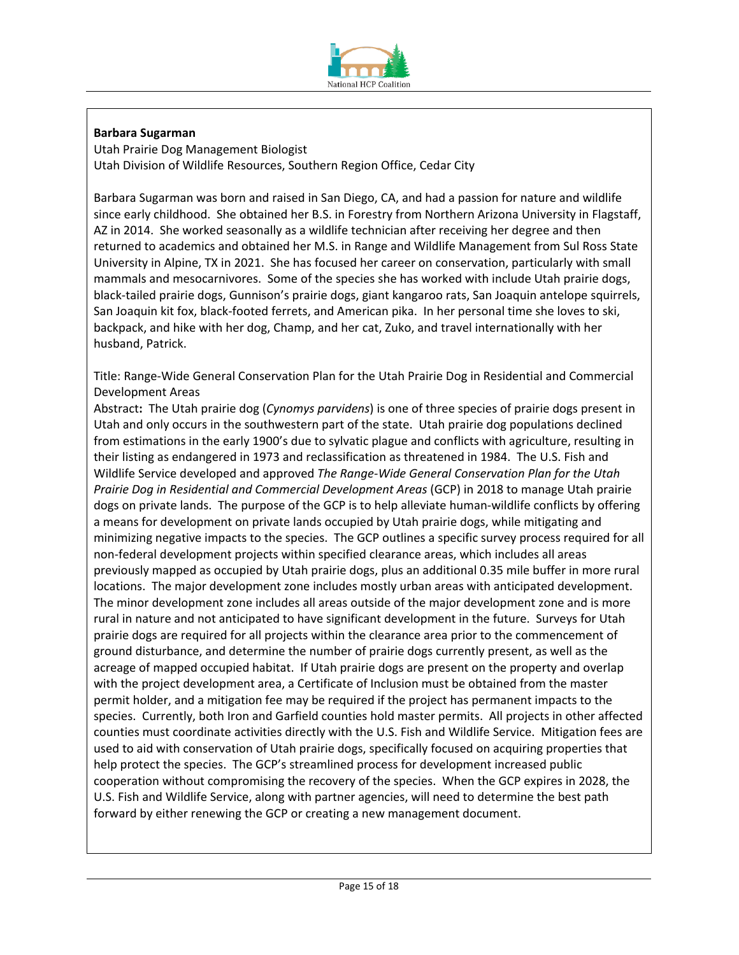

# **Barbara Sugarman**

Utah Prairie Dog Management Biologist Utah Division of Wildlife Resources, Southern Region Office, Cedar City

Barbara Sugarman was born and raised in San Diego, CA, and had a passion for nature and wildlife since early childhood. She obtained her B.S. in Forestry from Northern Arizona University in Flagstaff, AZ in 2014. She worked seasonally as a wildlife technician after receiving her degree and then returned to academics and obtained her M.S. in Range and Wildlife Management from Sul Ross State University in Alpine, TX in 2021. She has focused her career on conservation, particularly with small mammals and mesocarnivores. Some of the species she has worked with include Utah prairie dogs, black-tailed prairie dogs, Gunnison's prairie dogs, giant kangaroo rats, San Joaquin antelope squirrels, San Joaquin kit fox, black-footed ferrets, and American pika. In her personal time she loves to ski, backpack, and hike with her dog, Champ, and her cat, Zuko, and travel internationally with her husband, Patrick.

Title: Range-Wide General Conservation Plan for the Utah Prairie Dog in Residential and Commercial Development Areas

Abstract**:** The Utah prairie dog (*Cynomys parvidens*) is one of three species of prairie dogs present in Utah and only occurs in the southwestern part of the state. Utah prairie dog populations declined from estimations in the early 1900's due to sylvatic plague and conflicts with agriculture, resulting in their listing as endangered in 1973 and reclassification as threatened in 1984. The U.S. Fish and Wildlife Service developed and approved *The Range-Wide General Conservation Plan for the Utah Prairie Dog in Residential and Commercial Development Areas* (GCP) in 2018 to manage Utah prairie dogs on private lands. The purpose of the GCP is to help alleviate human-wildlife conflicts by offering a means for development on private lands occupied by Utah prairie dogs, while mitigating and minimizing negative impacts to the species. The GCP outlines a specific survey process required for all non-federal development projects within specified clearance areas, which includes all areas previously mapped as occupied by Utah prairie dogs, plus an additional 0.35 mile buffer in more rural locations. The major development zone includes mostly urban areas with anticipated development. The minor development zone includes all areas outside of the major development zone and is more rural in nature and not anticipated to have significant development in the future. Surveys for Utah prairie dogs are required for all projects within the clearance area prior to the commencement of ground disturbance, and determine the number of prairie dogs currently present, as well as the acreage of mapped occupied habitat. If Utah prairie dogs are present on the property and overlap with the project development area, a Certificate of Inclusion must be obtained from the master permit holder, and a mitigation fee may be required if the project has permanent impacts to the species. Currently, both Iron and Garfield counties hold master permits. All projects in other affected counties must coordinate activities directly with the U.S. Fish and Wildlife Service. Mitigation fees are used to aid with conservation of Utah prairie dogs, specifically focused on acquiring properties that help protect the species. The GCP's streamlined process for development increased public cooperation without compromising the recovery of the species. When the GCP expires in 2028, the U.S. Fish and Wildlife Service, along with partner agencies, will need to determine the best path forward by either renewing the GCP or creating a new management document.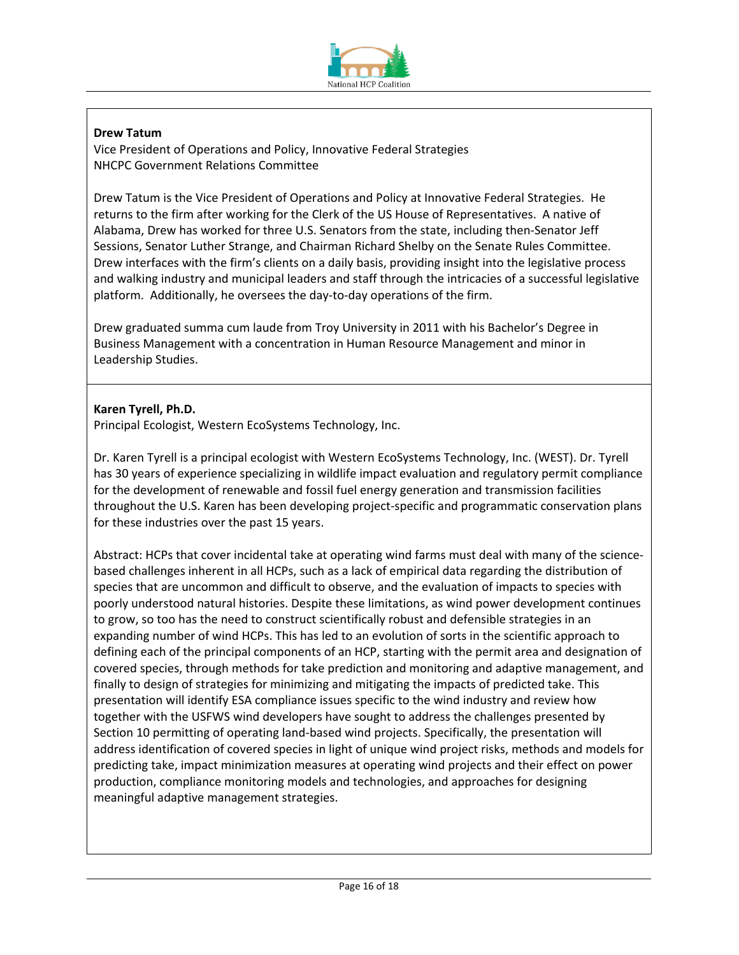

# **Drew Tatum**

Vice President of Operations and Policy, Innovative Federal Strategies NHCPC Government Relations Committee

Drew Tatum is the Vice President of Operations and Policy at Innovative Federal Strategies. He returns to the firm after working for the Clerk of the US House of Representatives. A native of Alabama, Drew has worked for three U.S. Senators from the state, including then-Senator Jeff Sessions, Senator Luther Strange, and Chairman Richard Shelby on the Senate Rules Committee. Drew interfaces with the firm's clients on a daily basis, providing insight into the legislative process and walking industry and municipal leaders and staff through the intricacies of a successful legislative platform. Additionally, he oversees the day-to-day operations of the firm.

Drew graduated summa cum laude from Troy University in 2011 with his Bachelor's Degree in Business Management with a concentration in Human Resource Management and minor in Leadership Studies.

# **Karen Tyrell, Ph.D.**

Principal Ecologist, Western EcoSystems Technology, Inc.

Dr. Karen Tyrell is a principal ecologist with Western EcoSystems Technology, Inc. (WEST). Dr. Tyrell has 30 years of experience specializing in wildlife impact evaluation and regulatory permit compliance for the development of renewable and fossil fuel energy generation and transmission facilities throughout the U.S. Karen has been developing project-specific and programmatic conservation plans for these industries over the past 15 years.

Abstract: HCPs that cover incidental take at operating wind farms must deal with many of the sciencebased challenges inherent in all HCPs, such as a lack of empirical data regarding the distribution of species that are uncommon and difficult to observe, and the evaluation of impacts to species with poorly understood natural histories. Despite these limitations, as wind power development continues to grow, so too has the need to construct scientifically robust and defensible strategies in an expanding number of wind HCPs. This has led to an evolution of sorts in the scientific approach to defining each of the principal components of an HCP, starting with the permit area and designation of covered species, through methods for take prediction and monitoring and adaptive management, and finally to design of strategies for minimizing and mitigating the impacts of predicted take. This presentation will identify ESA compliance issues specific to the wind industry and review how together with the USFWS wind developers have sought to address the challenges presented by Section 10 permitting of operating land-based wind projects. Specifically, the presentation will address identification of covered species in light of unique wind project risks, methods and models for predicting take, impact minimization measures at operating wind projects and their effect on power production, compliance monitoring models and technologies, and approaches for designing meaningful adaptive management strategies.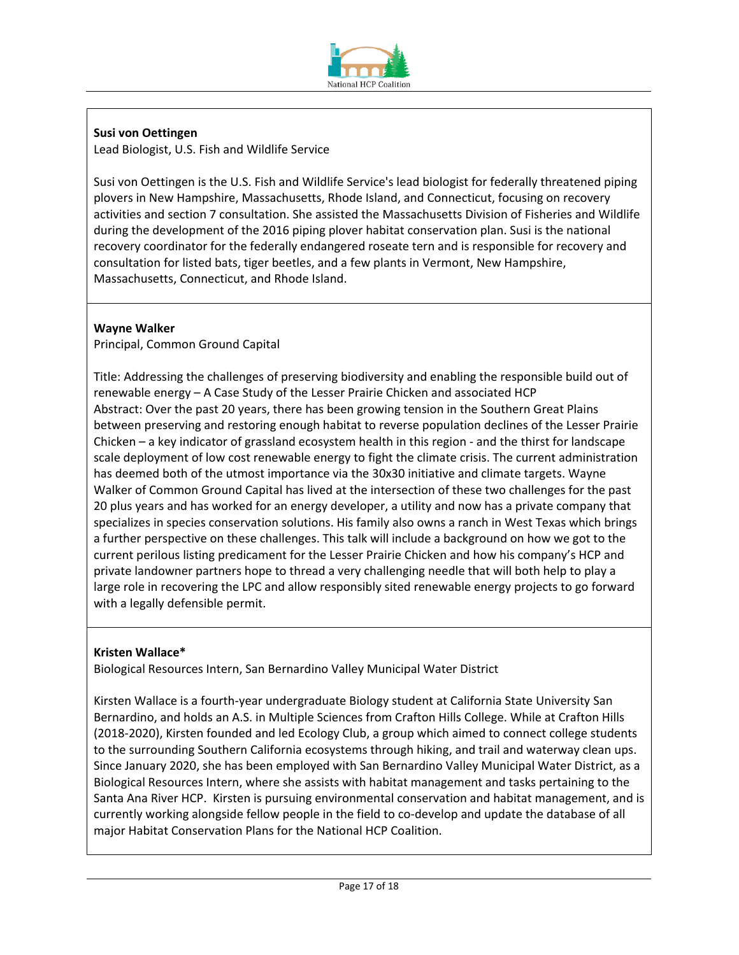

# **Susi von Oettingen**

Lead Biologist, U.S. Fish and Wildlife Service

Susi von Oettingen is the U.S. Fish and Wildlife Service's lead biologist for federally threatened piping plovers in New Hampshire, Massachusetts, Rhode Island, and Connecticut, focusing on recovery activities and section 7 consultation. She assisted the Massachusetts Division of Fisheries and Wildlife during the development of the 2016 piping plover habitat conservation plan. Susi is the national recovery coordinator for the federally endangered roseate tern and is responsible for recovery and consultation for listed bats, tiger beetles, and a few plants in Vermont, New Hampshire, Massachusetts, Connecticut, and Rhode Island.

# **Wayne Walker**

Principal, Common Ground Capital

Title: Addressing the challenges of preserving biodiversity and enabling the responsible build out of renewable energy – A Case Study of the Lesser Prairie Chicken and associated HCP Abstract: Over the past 20 years, there has been growing tension in the Southern Great Plains between preserving and restoring enough habitat to reverse population declines of the Lesser Prairie Chicken – a key indicator of grassland ecosystem health in this region - and the thirst for landscape scale deployment of low cost renewable energy to fight the climate crisis. The current administration has deemed both of the utmost importance via the 30x30 initiative and climate targets. Wayne Walker of Common Ground Capital has lived at the intersection of these two challenges for the past 20 plus years and has worked for an energy developer, a utility and now has a private company that specializes in species conservation solutions. His family also owns a ranch in West Texas which brings a further perspective on these challenges. This talk will include a background on how we got to the current perilous listing predicament for the Lesser Prairie Chicken and how his company's HCP and private landowner partners hope to thread a very challenging needle that will both help to play a large role in recovering the LPC and allow responsibly sited renewable energy projects to go forward with a legally defensible permit.

# **Kristen Wallace\***

Biological Resources Intern, San Bernardino Valley Municipal Water District

Kirsten Wallace is a fourth-year undergraduate Biology student at California State University San Bernardino, and holds an A.S. in Multiple Sciences from Crafton Hills College. While at Crafton Hills (2018-2020), Kirsten founded and led Ecology Club, a group which aimed to connect college students to the surrounding Southern California ecosystems through hiking, and trail and waterway clean ups. Since January 2020, she has been employed with San Bernardino Valley Municipal Water District, as a Biological Resources Intern, where she assists with habitat management and tasks pertaining to the Santa Ana River HCP. Kirsten is pursuing environmental conservation and habitat management, and is currently working alongside fellow people in the field to co-develop and update the database of all major Habitat Conservation Plans for the National HCP Coalition.